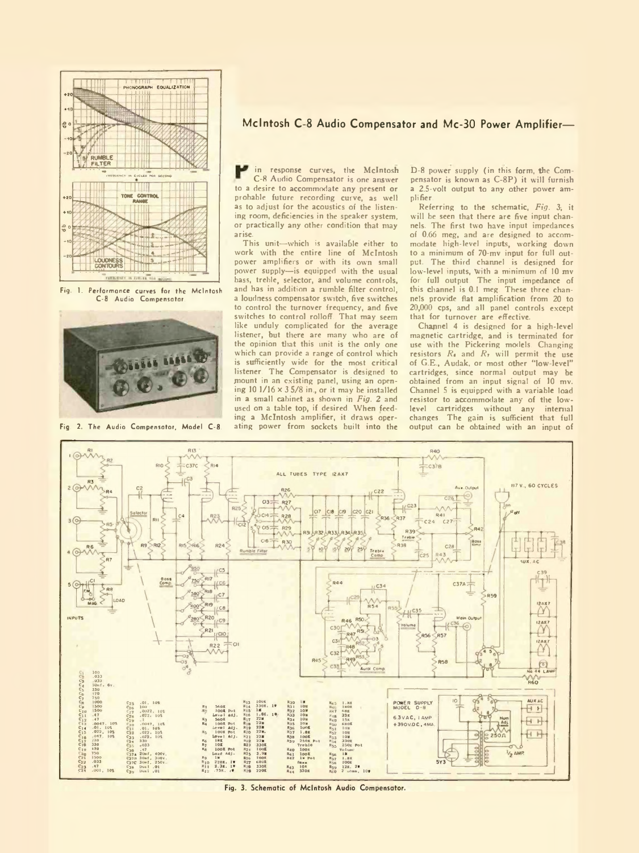

Fig. 1. Performance curves for the McIntosh C-8 Audio Compensator.



Fig. 2. The Audio Compensator, Model C-8.

## **McIntosh C 8 Audio Compensator and Mc-30 Power Amplifier—**

in response curves, the McIntosh C-8 Audio Compensator is one answer to a desire to accommodate any present or probable future recording curve, as well as to adjust for the acoustics of the listening room, deficiencies in the speaker system, or practically any other condition that may arise.

This unit—which is available either to work with the entire line of McIntosh power amplifiers or with its own small power supply—is equipped with the usual bass, treble, selector, and volume controls, and has in addition a rumble filter control, a loudness compensator switch, five switches to control the turnover frequency, and five switches to control rolloff. That may seem like unduly complicated for the average listener, but there are many who are of the opinion that this unit is the only one which can provide a range of control which is sufficiently wide for the most critical listener. The Compensator is designed to mount in an existing panel, using an opening  $10 \frac{1}{16} \times 3 \frac{5}{8}$  in., or it may be installed in a small cabinet as shown in *Fig. 2* and used on a table top, if desired. When feeding a McIntosh amplifier, it draws operating power from sockets built into the

D-8 power supply (in this form, the Compensator is known as C-8P) it will furnish a 2.5-volt output to any other power amplifier.

Referring to the schematic, Fig. 3; it will be seen that there are five input channels. The first two have input impedances of 0.66 meg, and are designed to accom-modate high-level inputs, working down to a minimum of 70-mv input for full output. The third channel is designed for low-level inputs, With a minimum of 10 mv for full output. The input impedance of this channel is 0.1 meg. These three channels provide flat amplification from 20 to 20,000 cps, and all panel controls except that for turnover are effective.

Chapnel 4 is designed for a high-level magnetic cartridge, and is terminated for use with the Pickering models. Changing resistors  $R_4$  and  $R_7$  will permit the use of G.E., Audak, or most other "low-level" cartridges, since normal output may be obtained from an input signal of 10 mv. Channel 5 is equipped with a variable load resistor to accommodate any of the low-<br>level cartridges without any internal level cartridges without any changes. The gain is sufficient that full output can be obtained with an input of



Fig. 3. Schematic of McIntosh Audio Compensator.